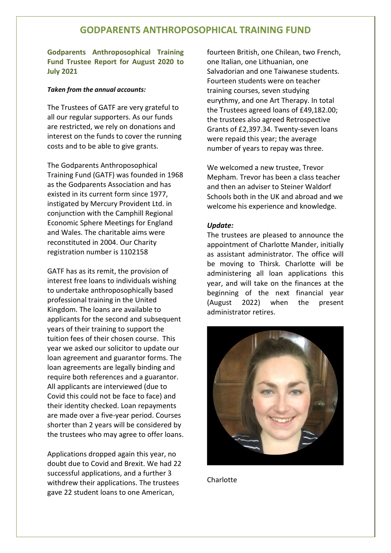# **GODPARENTS ANTHROPOSOPHICAL TRAINING FUND**

**Godparents Anthroposophical Training Fund Trustee Report for August 2020 to July 2021** 

#### *Taken from the annual accounts:*

The Trustees of GATF are very grateful to all our regular supporters. As our funds are restricted, we rely on donations and interest on the funds to cover the running costs and to be able to give grants.

The Godparents Anthroposophical Training Fund (GATF) was founded in 1968 as the Godparents Association and has existed in its current form since 1977, instigated by Mercury Provident Ltd. in conjunction with the Camphill Regional Economic Sphere Meetings for England and Wales. The charitable aims were reconstituted in 2004. Our Charity registration number is 1102158

GATF has as its remit, the provision of interest free loans to individuals wishing to undertake anthroposophically based professional training in the United Kingdom. The loans are available to applicants for the second and subsequent years of their training to support the tuition fees of their chosen course. This year we asked our solicitor to update our loan agreement and guarantor forms. The loan agreements are legally binding and require both references and a guarantor. All applicants are interviewed (due to Covid this could not be face to face) and their identity checked. Loan repayments are made over a five-year period. Courses shorter than 2 years will be considered by the trustees who may agree to offer loans.

Applications dropped again this year, no doubt due to Covid and Brexit. We had 22 successful applications, and a further 3 withdrew their applications. The trustees gave 22 student loans to one American,

fourteen British, one Chilean, two French, one Italian, one Lithuanian, one Salvadorian and one Taiwanese students. Fourteen students were on teacher training courses, seven studying eurythmy, and one Art Therapy. In total the Trustees agreed loans of £49,182.00; the trustees also agreed Retrospective Grants of £2,397.34. Twenty-seven loans were repaid this year; the average number of years to repay was three.

We welcomed a new trustee, Trevor Mepham. Trevor has been a class teacher and then an adviser to Steiner Waldorf Schools both in the UK and abroad and we welcome his experience and knowledge.

#### *Update:*

The trustees are pleased to announce the appointment of Charlotte Mander, initially as assistant administrator. The office will be moving to Thirsk. Charlotte will be administering all loan applications this year, and will take on the finances at the beginning of the next financial year (August 2022) when the present administrator retires.



Charlotte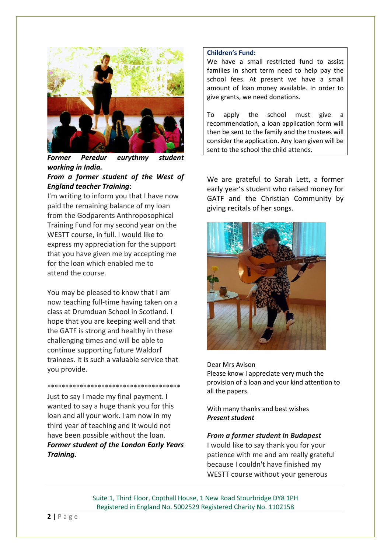

*Former Peredur eurythmy student working in India.*

# *From a former student of the West of England teacher Training*:

I'm writing to inform you that I have now paid the remaining balance of my loan from the Godparents Anthroposophical Training Fund for my second year on the WESTT course, in full. I would like to express my appreciation for the support that you have given me by accepting me for the loan which enabled me to attend the course.

You may be pleased to know that I am now teaching full-time having taken on a class at Drumduan School in Scotland. I hope that you are keeping well and that the GATF is strong and healthy in these challenging times and will be able to continue supporting future Waldorf trainees. It is such a valuable service that you provide.

\*\*\*\*\*\*\*\*\*\*\*\*\*\*\*\*\*\*\*\*\*\*\*\*\*\*\*\*\*\*\*\*\*\*\*\*\* Just to say I made my final payment. I wanted to say a huge thank you for this loan and all your work. I am now in my third year of teaching and it would not have been possible without the loan. *Former student of the London Early Years Training.*

### **Children's Fund:**

We have a small restricted fund to assist families in short term need to help pay the school fees. At present we have a small amount of loan money available. In order to give grants, we need donations.

To apply the school must give a recommendation, a loan application form will then be sent to the family and the trustees will consider the application. Any loan given will be sent to the school the child attends.

We are grateful to Sarah Lett, a former early year's student who raised money for GATF and the Christian Community by giving recitals of her songs.



Dear Mrs Avison Please know I appreciate very much the provision of a loan and your kind attention to all the papers.

With many thanks and best wishes *Present student*

#### *From a former student in Budapest*

I would like to say thank you for your patience with me and am really grateful because I couldn't have finished my WESTT course without your generous

Suite 1, Third Floor, Copthall House, 1 New Road Stourbridge DY8 1PH Registered in England No. 5002529 Registered Charity No. 1102158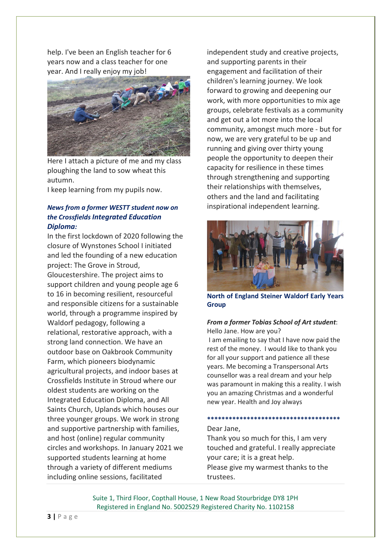help. I've been an English teacher for 6 years now and a class teacher for one year. And I really enjoy my job!



Here I attach a picture of me and my class ploughing the land to sow wheat this autumn.

I keep learning from my pupils now.

## *News from a former WESTT student now on the Crossfields Integrated Education Diploma:*

In the first lockdown of 2020 following the closure of Wynstones School I initiated and led the founding of a new education project: The Grove in Stroud, Gloucestershire. The project aims to support children and young people age 6 to 16 in becoming resilient, resourceful and responsible citizens for a sustainable world, through a programme inspired by Waldorf pedagogy, following a relational, restorative approach, with a strong land connection. We have an outdoor base on Oakbrook Community Farm, which pioneers biodynamic agricultural projects, and indoor bases at Crossfields Institute in Stroud where our oldest students are working on the Integrated Education Diploma, and All Saints Church, Uplands which houses our three younger groups. We work in strong and supportive partnership with families, and host (online) regular community circles and workshops. In January 2021 we supported students learning at home through a variety of different mediums including online sessions, facilitated

independent study and creative projects, and supporting parents in their engagement and facilitation of their children's learning journey. We look forward to growing and deepening our work, with more opportunities to mix age groups, celebrate festivals as a community and get out a lot more into the local community, amongst much more - but for now, we are very grateful to be up and running and giving over thirty young people the opportunity to deepen their capacity for resilience in these times through strengthening and supporting their relationships with themselves, others and the land and facilitating inspirational independent learning.



**North of England Steiner Waldorf Early Years Group**

## *From a former Tobias School of Art student*: Hello Jane. How are you?

I am emailing to say that I have now paid the rest of the money. I would like to thank you for all your support and patience all these years. Me becoming a Transpersonal Arts counsellor was a real dream and your help was paramount in making this a reality. I wish you an amazing Christmas and a wonderful new year. Health and Joy always

#### **\*\*\*\*\*\*\*\*\*\*\*\*\*\*\*\*\*\*\*\*\*\*\*\*\*\*\*\*\*\*\*\*\*\*\*\*\***

## Dear Jane,

Thank you so much for this, I am very touched and grateful. I really appreciate your care; it is a great help. Please give my warmest thanks to the trustees.

Suite 1, Third Floor, Copthall House, 1 New Road Stourbridge DY8 1PH Registered in England No. 5002529 Registered Charity No. 1102158